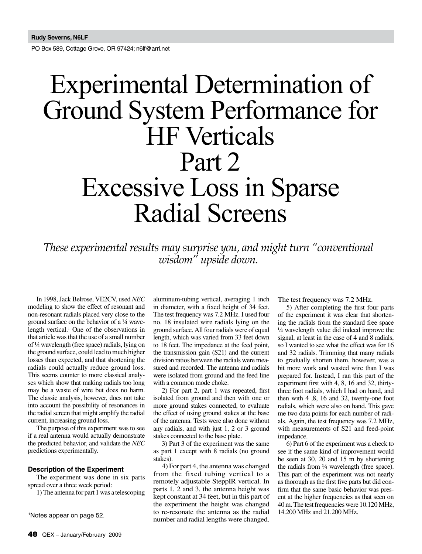PO Box 589, Cottage Grove, OR 97424; n6lf@arrl.net

# Experimental Determination of Ground System Performance for HF Verticals Part 2 Excessive Loss in Sparse Radial Screens

*These experimental results may surprise you, and might turn "conventional wisdom" upside down.*

> aluminum-tubing vertical, averaging 1 inch in diameter, with a fixed height of 34 feet. The test frequency was 7.2 MHz. I used four no. 18 insulated wire radials lying on the ground surface. All four radials were of equal length, which was varied from 33 feet down to 18 feet. The impedance at the feed point, the transmission gain (S21) and the current

In 1998, Jack Belrose, VE2CV, used *NEC*  modeling to show the effect of resonant and non-resonant radials placed very close to the ground surface on the behavior of a ¼ wavelength vertical.<sup>1</sup> One of the observations in that article was that the use of a small number of ¼ wavelength (free space) radials, lying on the ground surface, could lead to much higher losses than expected, and that shortening the radials could actually reduce ground loss. This seems counter to more classical analyses which show that making radials too long may be a waste of wire but does no harm. The classic analysis, however, does not take into account the possibility of resonances in the radial screen that might amplify the radial current, increasing ground loss.

The purpose of this experiment was to see if a real antenna would actually demonstrate the predicted behavior, and validate the *NEC* predictions experimentally.

#### **Description of the Experiment**

The experiment was done in six parts spread over a three week period:

1) The antenna for part 1 was a telescoping

1 Notes appear on page 52.

division ratios between the radials were measured and recorded. The antenna and radials were isolated from ground and the feed line with a common mode choke. 2) For part 2, part 1 was repeated, first isolated from ground and then with one or more ground stakes connected, to evaluate the effect of using ground stakes at the base of the antenna. Tests were also done without any radials, and with just 1, 2 or 3 ground stakes connected to the base plate.

3) Part 3 of the experiment was the same as part 1 except with 8 radials (no ground stakes).

4) For part 4, the antenna was changed from the fixed tubing vertical to a remotely adjustable SteppIR vertical. In parts 1, 2 and 3, the antenna height was kept constant at 34 feet, but in this part of the experiment the height was changed to re-resonate the antenna as the radial number and radial lengths were changed. The test frequency was 7.2 MHz.

5) After completing the first four parts of the experiment it was clear that shortening the radials from the standard free space ¼ wavelength value did indeed improve the signal, at least in the case of 4 and 8 radials, so I wanted to see what the effect was for 16 and 32 radials. Trimming that many radials to gradually shorten them, however, was a bit more work and wasted wire than I was prepared for. Instead, I ran this part of the experiment first with 4, 8, 16 and 32, thirtythree foot radials, which I had on hand, and then with 4 ,8, 16 and 32, twenty-one foot radials, which were also on hand. This gave me two data points for each number of radials. Again, the test frequency was 7.2 MHz, with measurements of S21 and feed-point impedance.

6) Part 6 of the experiment was a check to see if the same kind of improvement would be seen at 30, 20 and 15 m by shortening the radials from ¼ wavelength (free space). This part of the experiment was not nearly as thorough as the first five parts but did confirm that the same basic behavior was present at the higher frequencies as that seen on 40 m. The test frequencies were 10.120 MHz, 14.200 MHz and 21.200 MHz.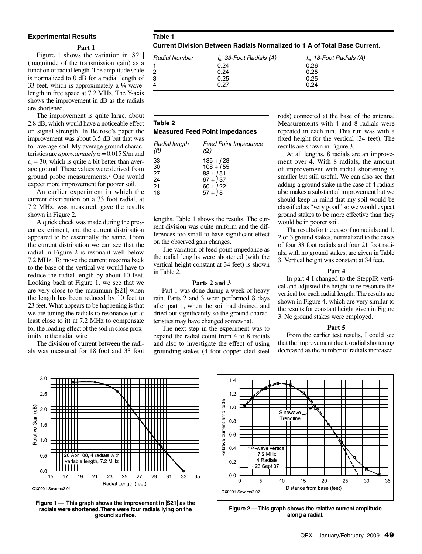#### **Experimental Results**

#### **Part 1**

Figure 1 shows the variation in |S21| (magnitude of the transmission gain) as a function of radial length. The amplitude scale is normalized to 0 dB for a radial length of 33 feet, which is approximately a ¼ wavelength in free space at 7.2 MHz. The Y-axis shows the improvement in dB as the radials are shortened.

The improvement is quite large, about 2.8 dB, which would have a noticeable effect on signal strength. In Belrose's paper the improvement was about 3.5 dB but that was for average soil. My average ground characteristics are *approximately* σ = 0.015 S/m and  $\varepsilon_r$  = 30, which is quite a bit better than average ground. These values were derived from ground probe measurements.2 One would expect more improvement for poorer soil.

An earlier experiment in which the current distribution on a 33 foot radial, at 7.2 MHz, was measured, gave the results shown in Figure 2.

A quick check was made during the present experiment, and the current distribution appeared to be essentially the same. From the current distribution we can see that the radial in Figure 2 is resonant well below 7.2 MHz. To move the current maxima back to the base of the vertical we would have to reduce the radial length by about 10 feet. Looking back at Figure 1, we see that we are very close to the maximum |S21| when the length has been reduced by 10 feet to 23 feet. What appears to be happening is that we are tuning the radials to resonance (or at least close to it) at 7.2 MHz to compensate for the loading effect of the soil in close proximity to the radial wire.

The division of current between the radials was measured for 18 foot and 33 foot **Table 1 Current Division Between Radials Normalized to 1 A of Total Base Current.**

| Radial Number | I <sub>n</sub> , 33-Foot Radials (A) | I <sub>n</sub> , 18-Foot Radials (A) |
|---------------|--------------------------------------|--------------------------------------|
|               | 0.24                                 | 0.26                                 |
|               | 0.24                                 | 0.25                                 |
| 3             | 0.25                                 | 0.25                                 |
|               | 0.27                                 | 0.24                                 |

# **Table 2**

# **Measured Feed Point Impedances**

| Radial length<br>(f <sup>t</sup> ) | <b>Feed Point Impedance</b><br>$(\Omega)$ |
|------------------------------------|-------------------------------------------|
| 33                                 | $135 + j28$                               |
| 30                                 | $108 + j55$                               |
| 27                                 | $83 + i51$                                |
| 24                                 | $67 + j37$                                |
| 21                                 | $60 + j22$                                |
| 18                                 | $57 + i8$                                 |

lengths. Table 1 shows the results. The current division was quite uniform and the differences too small to have significant effect on the observed gain changes.

The variation of feed-point impedance as the radial lengths were shortened (with the vertical height constant at 34 feet) is shown in Table 2.

#### **Parts 2 and 3**

Part 1 was done during a week of heavy rain. Parts 2 and 3 were performed 8 days after part 1, when the soil had drained and dried out significantly so the ground characteristics may have changed somewhat.

The next step in the experiment was to expand the radial count from 4 to 8 radials and also to investigate the effect of using grounding stakes (4 foot copper clad steel

rods) connected at the base of the antenna. Measurements with 4 and 8 radials were repeated in each run. This run was with a fixed height for the vertical (34 feet). The results are shown in Figure 3.

At all lengths, 8 radials are an improvement over 4. With 8 radials, the amount of improvement with radial shortening is smaller but still useful. We can also see that adding a ground stake in the case of 4 radials also makes a substantial improvement but we should keep in mind that my soil would be classified as "very good" so we would expect ground stakes to be more effective than they would be in poorer soil.

The results for the case of no radials and 1, 2 or 3 ground stakes, normalized to the cases of four 33 foot radials and four 21 foot radials, with no ground stakes, are given in Table 3. Vertical height was constant at 34 feet.

#### **Part 4**

In part 4 I changed to the SteppIR vertical and adjusted the height to re-resonate the vertical for each radial length. The results are shown in Figure 4, which are very similar to the results for constant height given in Figure 3. No ground stakes were employed.

#### **Part 5**

From the earlier test results, I could see that the improvement due to radial shortening decreased as the number of radials increased.



**Figure 1 — This graph shows the improvement in |S21| as the radials were shortened. There were four radials lying on the ground surface.**



**Figure 2 — This graph shows the relative current amplitude along a radial.**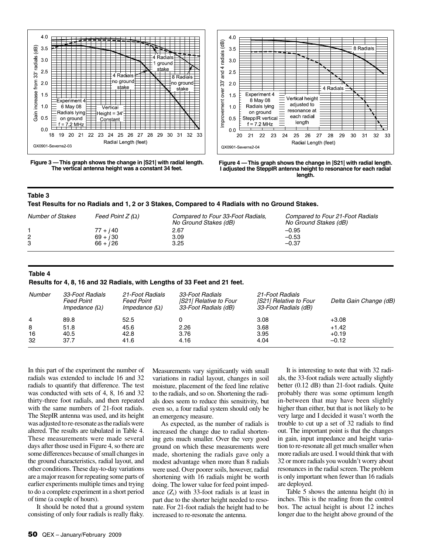

**Figure 3 — This graph shows the change in |S21| with radial length. The vertical antenna height was a constant 34 feet.**





# **Table 3**

**Test Results for no Radials and 1, 2 or 3 Stakes, Compared to 4 Radials with no Ground Stakes.**

| <b>Number of Stakes</b> | Feed Point $Z(\Omega)$ | Compared to Four 33-Foot Radials,<br>No Ground Stakes (dB) | Compared to Four 21-Foot Radials<br>No Ground Stakes (dB) |
|-------------------------|------------------------|------------------------------------------------------------|-----------------------------------------------------------|
|                         | $77 + j40$             | 2.67                                                       | $-0.95$                                                   |
|                         | $69 + i30$             | 3.09                                                       | $-0.53$                                                   |
|                         | $66 + i26$             | 3.25                                                       | $-0.37$                                                   |

# **Table 4**

**Results for 4, 8, 16 and 32 Radials, with Lengths of 33 Feet and 21 feet.**

| Number        | 33-Foot Radials<br>Feed Point<br>Impedance $(\Omega)$ | 21-Foot Radials<br><b>Feed Point</b><br>Impedance $(\Omega)$ | 33-Foot Radials<br><b>S21 Relative to Four</b><br>33-Foot Radials (dB) | 21-Foot Radials<br><b>IS21 Relative to Four</b><br>33-Foot Radials (dB) | Delta Gain Change (dB)        |
|---------------|-------------------------------------------------------|--------------------------------------------------------------|------------------------------------------------------------------------|-------------------------------------------------------------------------|-------------------------------|
| 4             | 89.8                                                  | 52.5                                                         |                                                                        | 3.08                                                                    | $+3.08$                       |
| 8<br>16<br>32 | 51.8<br>40.5<br>37.7                                  | 45.6<br>42.8<br>41.6                                         | 2.26<br>3.76<br>4.16                                                   | 3.68<br>3.95<br>4.04                                                    | $+1.42$<br>$+0.19$<br>$-0.12$ |

In this part of the experiment the number of radials was extended to include 16 and 32 radials to quantify that difference. The test was conducted with sets of 4, 8, 16 and 32 thirty-three foot radials, and then repeated with the same numbers of 21-foot radials. The StepIR antenna was used, and its height was adjusted to re-resonate as the radials were altered. The results are tabulated in Table 4. These measurements were made several days after those used in Figure 4, so there are some differences because of small changes in the ground characteristics, radial layout, and other conditions. These day-to-day variations are a major reason for repeating some parts of earlier experiments multiple times and trying to do a complete experiment in a short period of time (a couple of hours).

It should be noted that a ground system consisting of only four radials is really flaky. Measurements vary significantly with small variations in radial layout, changes in soil moisture, placement of the feed line relative to the radials, and so on. Shortening the radials does seem to reduce this sensitivity, but even so, a four radial system should only be an emergency measure.

As expected, as the number of radials is increased the change due to radial shortening gets much smaller. Over the very good ground on which these measurements were made, shortening the radials gave only a modest advantage when more than 8 radials were used. Over poorer soils, however, radial shortening with 16 radials might be worth doing. The lower value for feed point impedance  $(Z_i)$  with 33-foot radials is at least in part due to the shorter height needed to resonate. For 21-foot radials the height had to be increased to re-resonate the antenna.

It is interesting to note that with 32 radials, the 33-foot radials were actually slightly better (0.12 dB) than 21-foot radials. Quite probably there was some optimum length in-between that may have been slightly higher than either, but that is not likely to be very large and I decided it wasn't worth the trouble to cut up a set of 32 radials to find out. The important point is that the changes in gain, input impedance and height variation to re-resonate all get much smaller when more radials are used. I would think that with 32 or more radials you wouldn't worry about resonances in the radial screen. The problem is only important when fewer than 16 radials are deployed.

Table 5 shows the antenna height (h) in inches. This is the reading from the control box. The actual height is about 12 inches longer due to the height above ground of the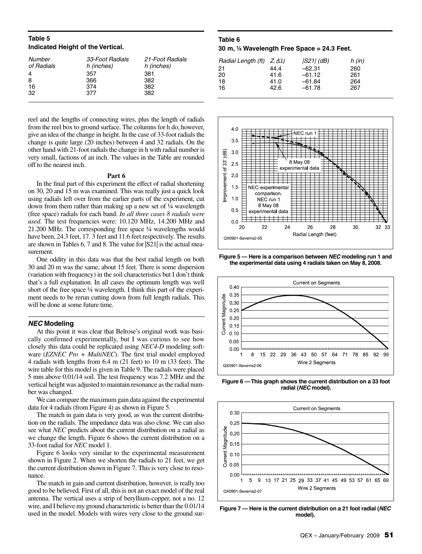# **Table 5 Indicated Height of the Vertical.**

| Number<br>of Radials | 33-Foot Radials<br>h (inches) | 21-Foot Radials<br>h (inches) |
|----------------------|-------------------------------|-------------------------------|
| 4                    | 357                           | 381                           |
| 8                    | 366                           | 382                           |
| 16                   | 374                           | 382                           |
| 32                   | 377                           | 382                           |
|                      |                               |                               |

reel and the lengths of connecting wires, plus the length of radials from the reel box to ground surface. The columns for h do, however, give an idea of the change in height. In the case of 33-foot radials the change is quite large (20 inches) between 4 and 32 radials. On the other hand with 21-foot radials the change in h with radial number is very small, factions of an inch. The values in the Table are rounded off to the nearest inch.

#### **Part 6**

In the final part of this experiment the effect of radial shortening on 30, 20 and 15 m was examined. This was really just a quick look using radials left over from the earlier parts of the experiment, cut down from them rather than making up a new set of ¼ wavelength (free space) radials for each band. *In all three cases 8 radials were used*. The test frequencies were: 10.120 MHz, 14.200 MHz and 21.200 MHz. The corresponding free space ¼ wavelengths would have been, 24.3 feet, 17.3 feet and 11.6 feet respectively. The results are shown in Tables 6, 7 and 8. The value for |S21| is the actual measurement.

One oddity in this data was that the best radial length on both 30 and 20 m was the same, about 15 feet. There is some dispersion (variation with frequency) in the soil characteristics but I don't think that's a full explanation. In all cases the optimum length was well short of the free space ¼ wavelength. I think this part of the experiment needs to be rerun cutting down from full length radials. This will be done at some future time.

# *NEC* **Modeling**

At this point it was clear that Belrose's original work was basically confirmed experimentally, but I was curious to see how closely this data could be replicated using *NEC4-D* modeling software (*EZNEC Pro + MultiNEC*). The first trial model employed 4 radials with lengths from 6.4 m (21 feet) to 10 m (33 feet). The wire table for this model is given in Table 9. The radials were placed 5 mm above 0.01/14 soil. The test frequency was 7.2 MHz and the vertical height was adjusted to maintain resonance as the radial number was changed.

We can compare the maximum gain data against the experimental data for 4 radials (from Figure 4) as shown in Figure 5.

The match in gain data is very good, as was the current distribution on the radials. The impedance data was also close. We can also see what *NEC* predicts about the current distribution on a radial as we change the length. Figure 6 shows the current distribution on a 33-foot radial for *NEC* model 1.

Figure 6 looks very similar to the experimental measurement shown in Figure 2. When we shorten the radials to 21 feet, we get the current distribution shown in Figure 7. This is very close to resonance.

The match in gain and current distribution, however, is really too good to be believed. First of all, this is not an exact model of the real antenna. The vertical uses a strip of beryllium-copper, not a no. 12 wire, and I believe my ground characteristic is better than the 0.01/14 wire, and I believe my ground characteristic is better than the 0.01/14<br>**Figure 7**— Here is the current distribution on a 21 foot radial (*NEC*<br>model).

# **Table 6**

#### **30 m, ¼ Wavelength Free Space = 24.3 Feet.**

| Radial Length (ft) $Z_i(\Omega)$ |      | $ S21 $ (dB) | $h$ (in) |
|----------------------------------|------|--------------|----------|
|                                  |      |              |          |
| 21                               | 44.4 | $-62.31$     | 260      |
| 20                               | 41.6 | $-61.12$     | 261      |
| 18                               | 41.0 | $-61.84$     | 264      |
| 16                               | 42.6 | $-61.78$     | 267      |
|                                  |      |              |          |



**Figure 5 — Here is a comparison between** *NEC* **modeling run 1 and the experimental data using 4 radials taken on May 8, 2008.**



**Figure 6 — This graph shows the current distribution on a 33 foot radial (***NEC* **model).**



**model).**